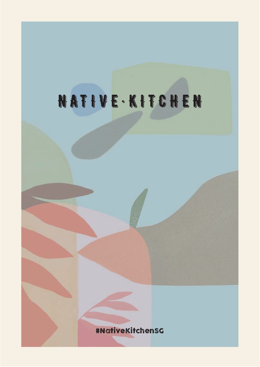# NATIVE · KITCHEN

#NativeKitchenSG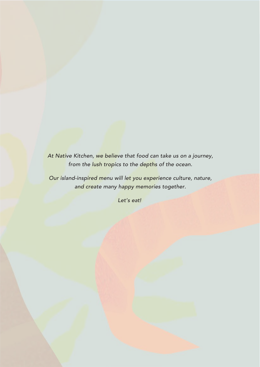*At Native Kitchen, we believe that food can take us on a journey, from the lush tropics to the depths of the ocean.*

*Our island-inspired menu will let you experience culture, nature, and create many happy memories together.*

*Let's eat!*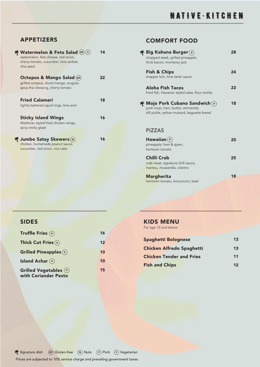#### APPETIZERS

| <b>T</b> Watermelon & Feta Salad (GF)<br><b>V</b><br>watermelon, feta cheese, red onion,<br>cherry tomato, cucumber, lime sorbet,<br>chia seed | 14 |
|------------------------------------------------------------------------------------------------------------------------------------------------|----|
| Octopus & Mango Salad (GF)<br>grilled octopus, diced mango, arugula,<br>spicy thai dressing, cherry tomato                                     | 22 |
| <b>Fried Calamari</b><br>lightly battered squid rings, lime aioli                                                                              | 18 |
| <b>Sticky Island Wings</b><br>Maldivian styled fried chicken wings,<br>spicy sticky glaze                                                      | 16 |
| <b>T</b> Jumbo Satay Skewers (N)<br>chicken, homemade peanut sauce,<br>cucumber, red onion, rice cake                                          | 16 |

#### COMFORT FOOD

 $\overline{1}$ 

| ∱ Big Kahuna Burger  (P)<br>chopped steak, grilled pineapple,<br>thick bacon, monterey jack                                                                         | 28 |
|---------------------------------------------------------------------------------------------------------------------------------------------------------------------|----|
| <b>Fish &amp; Chips</b><br>snapper loin, lime tartar sauce                                                                                                          | 24 |
| Aloha Fish Tacos<br>fried fish, Hawaiian styled salsa, flour tortilla                                                                                               | 22 |
| $\boldsymbol{\mathsf{F}}$ Mojo Pork Cubano Sandwich $(\boldsymbol{\mathsf{P}})$<br>pork mojo, ham, butter, emmental,<br>dill pickle, yellow mustard, baquette bread | 18 |
| <b>PIZZAS</b>                                                                                                                                                       |    |
| $\mathsf{H}$ awaiian $(\mathsf{P})$<br>pineapple, ham & spam,<br>heirloom tomato                                                                                    | 20 |
| Chilli Crab<br>crab meat, signature chilli sauce,<br>mantou, mozzarella, cilantro                                                                                   | 25 |
| <b>Margherita</b>                                                                                                                                                   | 18 |

#### SIDES

| Truffle Fries $\left(\overline{v}\right)$        | 16 |
|--------------------------------------------------|----|
| Thick Cut Fries $\mathbf{\widehat{v}}$           | 12 |
| Grilled Pineapples $(v)$                         | 10 |
| <b>Island Achar</b> $(v)$                        | 10 |
| Grilled Vegetables $(v)$<br>with Coriander Pesto | 15 |

#### KIDS MENU *For age 12 and below*

heirloom tomato, bocconcini, basil

| <b>Spaghetti Bolognese</b>       | 13 |
|----------------------------------|----|
| <b>Chicken Alfredo Spaghetti</b> | 13 |
| <b>Chicken Tender and Fries</b>  | 11 |
| <b>Fish and Chips</b>            | 12 |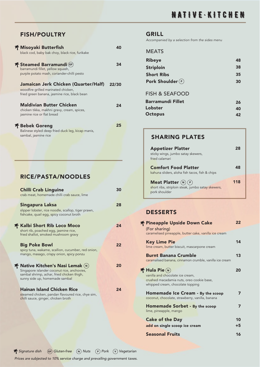FISH/POULTRY

| 齐 Misoyaki Butterfish<br>black cod, baby bak choy, black rice, furikake                                                     |       |
|-----------------------------------------------------------------------------------------------------------------------------|-------|
| 千 Steamed Barramundi (GF)<br>barramundi fillet, yellow squash,<br>purple potato mash, coriander-chilli pesto                | 34    |
| Jamaican Jerk Chicken (Quarter/Half)<br>woodfire grilled marinated chicken,<br>fried green banana, jasmine rice, black bean | 22/30 |
| <b>Maldivian Butter Chicken</b><br>chicken tikka, makhni gravy, cream, spices,<br>jasmine rice or flat bread                | 24    |
| 千 Bebek Goreng<br>Balinese styled deep fried duck leg, kicap manis,<br>sambal, jasmine rice                                 | 25    |

#### RICE/PASTA/NOODLES

| <b>Chilli Crab Linguine</b><br>crab meat, homemade chilli crab sauce, lime                                                                                                                                       | 30 |
|------------------------------------------------------------------------------------------------------------------------------------------------------------------------------------------------------------------|----|
| Singapura Laksa<br>slipper lobster, rice noodle, scallop, tiger prawn,<br>fishcake, quail egg, spicy coconut broth                                                                                               | 28 |
| <b>f Kalbi Short Rib Loco Moco</b><br>short rib, poached egg, jasmine rice,<br>fried shallot, smoked mushroom gravy                                                                                              | 24 |
| <b>Big Poke Bowl</b><br>spicy tuna, wakame, scallion, cucumber, red onion,<br>mango, masago, crispy onion, spicy ponzu                                                                                           | 22 |
| $\boldsymbol{\mathsf{f}}$ Native Kitchen's Nasi Lemak $(\boldsymbol{\mathsf{N}})$<br>Singapore islander coconut rice, anchovies,<br>sambal shrimp, achar, fried chicken thigh,<br>sunny side up, homemade sambal | 20 |
| <b>Hainan Island Chicken Rice</b><br>steamed chicken, pandan flavoured rice, chye sim,<br>chilli sauce, ginger, chicken broth                                                                                    | 24 |

#### GRILL

*Accompanied by a selection from the sides menu*

| 48 |
|----|
| 38 |
| 35 |
| 30 |
|    |
| 26 |
| 40 |
| 42 |
|    |

#### SHARING PLATES

| <b>Appetizer Platter</b><br>sticky wings, jumbo satay skewers,<br>fried calamari             |     |
|----------------------------------------------------------------------------------------------|-----|
| <b>Comfort Food Platter</b><br>kahuna sliders, aloha fish tacos, fish & chips                |     |
| Meat Platter $(N)$ (P)<br>short ribs, striploin steak, jumbo satay skewers,<br>pork shoulder | 118 |

#### DESSERTS

| <b>T</b> Pineapple Upside Down Cake<br>(For sharing)                                   | 22 |
|----------------------------------------------------------------------------------------|----|
| caramelised pineapple, butter cake, vanilla ice cream                                  |    |
| <b>Key Lime Pie</b><br>lime cream, butter biscuit, mascarpone cream                    | 14 |
| <b>Burnt Banana Crumble</b><br>caramalised banana, cinnamon crumble, vanilla ice cream | 13 |
| T Hula Pie (N)<br>vanilla and chocolate ice cream,                                     | 20 |
| crushed macadamia nuts, oreo cookie base,<br>whipped cream, chocolate topping          |    |
| Homemade Ice Cream - By the scoop<br>coconut, chocolate, strawberry, vanilla, banana   |    |
| Homemade Sorbet - By the scoop<br>lime, pineapple, mango                               | 7  |
| <b>Cake of the Day</b>                                                                 | 10 |
| add on single scoop ice cream                                                          | +5 |
| <b>Seasonal Fruits</b>                                                                 | 16 |

**F** *Signature dish* (GF) *Gluten-free* (N) *Nuts* (P) *Pork* (v) *Vegetarian Prices are subjected to 10% service charge and prevailing government taxes.*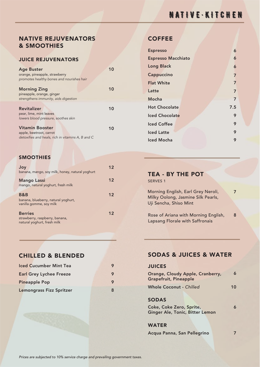## NATIVE · KITCHEN

#### NATIVE REJUVENATORS & SMOOTHIES

#### JUICE REJUVENATORS

| <b>Age Buster</b>                                 | 10 |
|---------------------------------------------------|----|
| orange, pineapple, strawberry                     |    |
| promotes healthy bones and nourishes hair         |    |
|                                                   |    |
| <b>Morning Zing</b>                               | 10 |
| pineapple, orange, ginger                         |    |
| strengthens immunity, aids digestion              |    |
|                                                   |    |
| <b>Revitalizer</b>                                | 10 |
| pear, lime, mint leaves                           |    |
| lowers blood pressure, soothes skin               |    |
|                                                   |    |
| <b>Vitamin Booster</b>                            | 10 |
| apple, beetroot, carrot                           |    |
| detoxifies and heals, rich in vitamins A, B and C |    |

#### **SMOOTHIES**

| Joy<br>banana, mango, soy milk, honey, natural yoghurt                          | 12 |
|---------------------------------------------------------------------------------|----|
| <b>Mango Lassi</b><br>mango, natural yoghurt, fresh milk                        | 12 |
| B&B<br>banana, blueberry, natural yoghurt,<br>vanilla gomme, soy milk           | 12 |
| <b>Berries</b><br>strawberry, raspberry, banana,<br>natural yoghurt, fresh milk | 12 |

| <b>Iced Cucumber Mint Tea</b>   |   |
|---------------------------------|---|
| <b>Earl Grey Lychee Freeze</b>  |   |
| <b>Pineapple Pop</b>            |   |
| <b>Lemongrass Fizz Spritzer</b> | 8 |

#### **COFFEE**

| <b>Espresso</b>           |     | 6 |
|---------------------------|-----|---|
| <b>Espresso Macchiato</b> |     | 6 |
| <b>Long Black</b>         |     | 6 |
| Cappuccino                |     | 7 |
| <b>Flat White</b>         |     | 7 |
| Latte                     |     | 7 |
| Mocha                     |     | 7 |
| <b>Hot Chocolate</b>      | 7.5 |   |
| Iced Chocolate            |     | 9 |
| <b>Iced Coffee</b>        |     | 9 |
| <b>Iced Latte</b>         |     | 9 |
| <b>Iced Mocha</b>         |     | 9 |

#### TEA - BY THE POT

SERVES 1

7 Morning English, Earl Grey Neroli, Milky Oolong, Jasmine Silk Pearls, Uji Sencha, Shiso Mint

Rose of Ariana with Morning English, Lapsang Florale with Saffronais 8

#### CHILLED & BLENDED SODAS & JUICES & WATER

#### **JUICES**

| Orange, Cloudy Apple, Cranberry,<br><b>Grapefruit, Pineapple</b> |    |
|------------------------------------------------------------------|----|
| <b>Whole Coconut - Chilled</b>                                   | 10 |
| <b>SODAS</b>                                                     |    |
| Coke, Coke Zero, Sprite,<br>Ginger Ale, Tonic, Bitter Lemon      |    |

WATER

Acqua Panna, San Pellegrino

7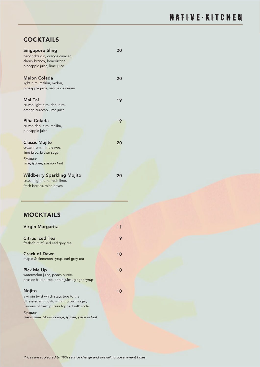### **COCKTAILS**

| <b>Singapore Sling</b><br>hendrick's gin, orange curacao,<br>cherry brandy, benedictine,<br>pineapple juice, lime juice  | 20 |
|--------------------------------------------------------------------------------------------------------------------------|----|
| Melon Colada<br>light rum, malibu, midori,<br>pineapple juice, vanilla ice cream                                         | 20 |
| Mai Tai<br>cruzan light rum, dark rum,<br>orange curacao, lime juice                                                     | 19 |
| Piña Colada<br>cruzan dark rum, malibu,<br>pineapple juice                                                               | 19 |
| <b>Classic Mojito</b><br>cruzan rum, mint leaves,<br>lime juice, brown sugar<br>flavours:<br>lime, lychee, passion fruit | 20 |
| <b>Wildberry Sparkling Mojito</b><br>cruzan light rum, fresh lime,<br>fresh berries, mint leaves                         | 20 |

#### MOCKTAILS

| <b>Virgin Margarita</b>                                                                                                                    | 11 |
|--------------------------------------------------------------------------------------------------------------------------------------------|----|
| <b>Citrus Iced Tea</b><br>fresh-fruit infused earl grey tea                                                                                | 9  |
| <b>Crack of Dawn</b><br>maple & cinnamon syrup, earl grey tea                                                                              | 10 |
| <b>Pick Me Up</b><br>watermelon juice, peach purée,<br>passion fruit purée, apple juice, ginger syrup                                      | 10 |
| Nojito<br>a virgin twist which stays true to the<br>ultra-elegant mojito - mint, brown sugar,<br>flavours of fresh purées topped with soda | 10 |
| flavours:<br>classic lime, blood orange, lychee, passion fruit                                                                             |    |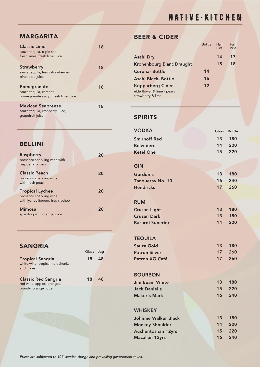MARGARITA

| <b>Classic Lime</b><br>sauza tequila, triple sec,<br>fresh limes, fresh lime juice | 16 |
|------------------------------------------------------------------------------------|----|
| <b>Strawberry</b><br>sauza tequila, fresh strawberries,<br>pineapple juice         | 18 |
| Pomegranate<br>sauza tequila, campari,<br>pomegranate syrup, fresh lime juice      | 18 |
| <b>Mexican Seabreeze</b><br>sauza tequila, cranberry juice,<br>grapefruit juice    | 18 |

#### **BELLINI**

| <b>Raspberry</b><br>prosecco sparkling wine with<br>raspberry liqueur             | 20 |
|-----------------------------------------------------------------------------------|----|
| <b>Classic Peach</b><br>prosecco sparkling wine<br>with fresh peach               | 20 |
| <b>Tropical Lychee</b><br>prosecco sparkling wine                                 | 20 |
| with lychee liqueur, fresh lychee<br><b>Mimosa</b><br>sparkling with orange juice | 20 |

# SANGRIA

white wine, tropical fruit chunks and juices Tropical Sangria 18 18 48

red wine, apples, oranges, brandy, orange liquer Classic Red Sangria

#### BEER & CIDER

|                                                  | <b>Bottle</b> | Half<br>Pint | Full<br>Pint |
|--------------------------------------------------|---------------|--------------|--------------|
| <b>Asahi Dry</b>                                 |               | 14           | 17           |
| <b>Kronenbourg Blanc Draught</b>                 |               | 15           | 18           |
| Corona-Bottle                                    | 14            |              |              |
| Asahi Black- Bottle                              | 16            |              |              |
| <b>Kopparberg Cider</b>                          | 12            |              |              |
| elderflower & lime / pear /<br>strawberry & lime |               |              |              |

#### SPIRITS

| <b>VODKA</b>              | Glass | <b>Bottle</b> |
|---------------------------|-------|---------------|
| <b>Smirnoff Red</b>       | 13    | 180           |
| <b>Belvedere</b>          | 14    | 200           |
| <b>Ketel One</b>          | 15    | 220           |
|                           |       |               |
| <b>GIN</b>                |       |               |
| Gordon's                  | 13    | 180           |
| <b>Tanqueray No. 10</b>   | 16    | 240           |
| <b>Hendricks</b>          | 17    | 260           |
|                           |       |               |
| <b>RUM</b>                |       |               |
| <b>Cruzan Light</b>       | 13    | 180           |
| <b>Cruzan Dark</b>        | 13    | 180           |
| <b>Bacardi Superior</b>   | 14    | 200           |
|                           |       |               |
| <b>TEQUILA</b>            |       |               |
| <b>Sauza Gold</b>         | 13    | 180           |
| <b>Patron Silver</b>      | 17    | 260           |
| Patron XO Café            | 17    | 260           |
|                           |       |               |
| <b>BOURBON</b>            |       |               |
| <b>Jim Beam White</b>     | 13    | 180           |
| <b>Jack Daniel's</b>      | 15    | 220           |
| <b>Maker's Mark</b>       | 16    | 240           |
|                           |       |               |
| <b>WHISKEY</b>            |       |               |
| Johnnie Walker Black      | 13    | 180           |
| <b>Monkey Shoulder</b>    | 14    | 220           |
| <b>Auchentoshan 12yrs</b> | 15    | 220           |
| <b>Macallan 12yrs</b>     | 16    | 240           |

*Prices are subjected to 10% service charge and prevailing government taxes.*

Glass Jug

18 48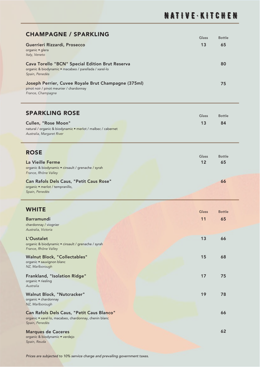| <b>CHAMPAGNE / SPARKLING</b>                                                                                                      | Glass | Bottle |
|-----------------------------------------------------------------------------------------------------------------------------------|-------|--------|
| Guerrieri Rizzardi, Prosecco<br>organic · glera<br>Italy, Veneto                                                                  | 13    | 65     |
| <b>Cava Torello "BCN" Special Edition Brut Reserva</b><br>organic & biodynamic • macabeo / parellada / xarel-lo<br>Spain, Penedès |       | 80     |
| Joseph Perrier, Cuvee Royale Brut Champagne (375ml)<br>pinot noir / pinot meunier / chardonnay<br>France, Champagne               |       | 75.    |

#### SPARKLING ROSE

| SPARKLING ROSE                                              | Glass | Bottle |
|-------------------------------------------------------------|-------|--------|
| Cullen, "Rose Moon"                                         | 13    | 84     |
| natural / organic & biodynamic • merlot / malbec / cabernet |       |        |
| Australia, Margaret River                                   |       |        |

#### **ROSE**

|                                                    | Glass | <b>Bottle</b> |  |
|----------------------------------------------------|-------|---------------|--|
| La Vieille Ferme                                   | 12    | 65            |  |
| organic & biodynamic • cinsault / grenache / syrah |       |               |  |
| France, Rhône Valley                               |       |               |  |
| <b>Can Rafols Dels Caus, "Petit Caus Rose"</b>     |       | 66            |  |
| organic • merlot / tempranillo,                    |       |               |  |
| Spain, Penedès                                     |       |               |  |

| <b>WHITE</b>                                                                                                         |       |               |
|----------------------------------------------------------------------------------------------------------------------|-------|---------------|
|                                                                                                                      | Glass | <b>Bottle</b> |
| <b>Barramundi</b><br>chardonnay / viognier<br>Australia, Victoria                                                    | 11    | 65            |
| L'Oustalet<br>organic & biodynamic · cinsault / grenache / syrah<br>France, Rhône Valley                             | 13    | 66            |
| <b>Walnut Block, "Collectables"</b><br>organic • sauvignon blanc<br>NZ, Marlborough                                  | 15    | 68            |
| Frankland, "Isolation Ridge"<br>organic • riesling<br>Australia                                                      | 17    | 75            |
| Walnut Block, "Nutcracker"<br>organic · chardonnay<br>NZ, Marlborough                                                | 19    | 78            |
| Can Rafols Dels Caus, "Petit Caus Blanco"<br>organic • xarel·lo, macabeo, chardonnay, chenin blanc<br>Spain, Penedès |       | 66            |
| <b>Marques de Caceres</b><br>organic & biodynamic • verdejo<br>Spain, Reuda                                          |       | 62            |

#### *Prices are subjected to 10% service charge and prevailing government taxes.*